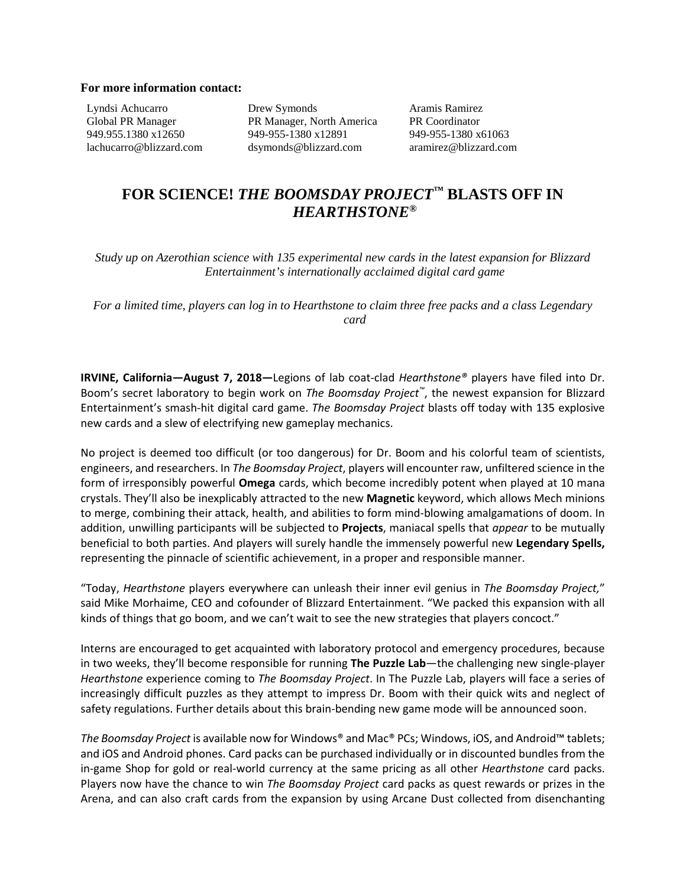## **For more information contact:**

Lyndsi Achucarro Global PR Manager 949.955.1380 x12650 lachucarro@blizzard.com Drew Symonds PR Manager, North America 949-955-1380 x12891 dsymonds@blizzard.com

Aramis Ramirez PR Coordinator 949-955-1380 x61063 aramirez@blizzard.com

# **FOR SCIENCE!** *THE BOOMSDAY PROJECT™* **BLASTS OFF IN**  *HEARTHSTONE®*

*Study up on Azerothian science with 135 experimental new cards in the latest expansion for Blizzard Entertainment's internationally acclaimed digital card game*

*For a limited time, players can log in to Hearthstone to claim three free packs and a class Legendary card*

**IRVINE, California—August 7, 2018—**Legions of lab coat-clad *Hearthstone®* players have filed into Dr. Boom's secret laboratory to begin work on *The Boomsday Project™*, the newest expansion for Blizzard Entertainment's smash-hit digital card game. *The Boomsday Project* blasts off today with 135 explosive new cards and a slew of electrifying new gameplay mechanics.

No project is deemed too difficult (or too dangerous) for Dr. Boom and his colorful team of scientists, engineers, and researchers. In *The Boomsday Project*, players will encounter raw, unfiltered science in the form of irresponsibly powerful **Omega** cards, which become incredibly potent when played at 10 mana crystals. They'll also be inexplicably attracted to the new **Magnetic** keyword, which allows Mech minions to merge, combining their attack, health, and abilities to form mind-blowing amalgamations of doom. In addition, unwilling participants will be subjected to **Projects**, maniacal spells that *appear* to be mutually beneficial to both parties. And players will surely handle the immensely powerful new **Legendary Spells,** representing the pinnacle of scientific achievement, in a proper and responsible manner.

"Today, *Hearthstone* players everywhere can unleash their inner evil genius in *The Boomsday Project,*" said Mike Morhaime, CEO and cofounder of Blizzard Entertainment. "We packed this expansion with all kinds of things that go boom, and we can't wait to see the new strategies that players concoct."

Interns are encouraged to get acquainted with laboratory protocol and emergency procedures, because in two weeks, they'll become responsible for running **The Puzzle Lab**—the challenging new single-player *Hearthstone* experience coming to *The Boomsday Project*. In The Puzzle Lab, players will face a series of increasingly difficult puzzles as they attempt to impress Dr. Boom with their quick wits and neglect of safety regulations. Further details about this brain-bending new game mode will be announced soon.

*The Boomsday Project* is available now for Windows® and Mac® PCs; Windows, iOS, and Android™ tablets; and iOS and Android phones. Card packs can be purchased individually or in discounted bundles from the in-game Shop for gold or real-world currency at the same pricing as all other *Hearthstone* card packs. Players now have the chance to win *The Boomsday Project* card packs as quest rewards or prizes in the Arena, and can also craft cards from the expansion by using Arcane Dust collected from disenchanting